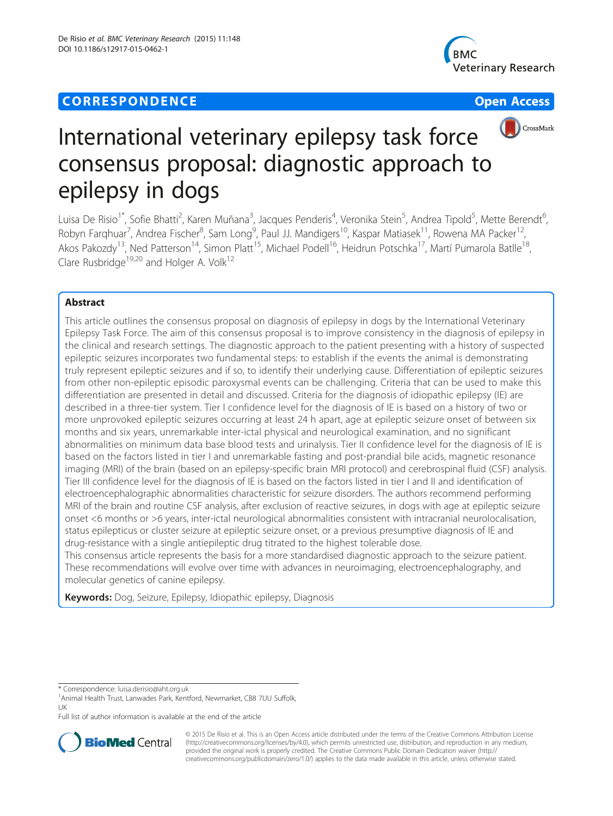# **CORRESPONDENCE CORRESPONDENCE** *CORRESPONDENCE*







# International veterinary epilepsy task force consensus proposal: diagnostic approach to epilepsy in dogs

Luisa De Risio<sup>1\*</sup>, Sofie Bhatti<sup>2</sup>, Karen Muñana<sup>3</sup>, Jacques Penderis<sup>4</sup>, Veronika Stein<sup>5</sup>, Andrea Tipold<sup>5</sup>, Mette Berendt<sup>6</sup> י<br>, Robyn Farqhuar<sup>7</sup>, Andrea Fischer<sup>8</sup>, Sam Long<sup>9</sup>, Paul JJ. Mandigers<sup>10</sup>, Kaspar Matiasek<sup>11</sup>, Rowena MA Packer<sup>12</sup>, Akos Pakozdy<sup>13</sup>, Ned Patterson<sup>14</sup>, Simon Platt<sup>15</sup>, Michael Podell<sup>16</sup>, Heidrun Potschka<sup>17</sup>, Martí Pumarola Batlle<sup>18</sup>, Clare Rusbridge<sup>19,20</sup> and Holger A. Volk<sup>12</sup>

# Abstract

This article outlines the consensus proposal on diagnosis of epilepsy in dogs by the International Veterinary Epilepsy Task Force. The aim of this consensus proposal is to improve consistency in the diagnosis of epilepsy in the clinical and research settings. The diagnostic approach to the patient presenting with a history of suspected epileptic seizures incorporates two fundamental steps: to establish if the events the animal is demonstrating truly represent epileptic seizures and if so, to identify their underlying cause. Differentiation of epileptic seizures from other non-epileptic episodic paroxysmal events can be challenging. Criteria that can be used to make this differentiation are presented in detail and discussed. Criteria for the diagnosis of idiopathic epilepsy (IE) are described in a three-tier system. Tier I confidence level for the diagnosis of IE is based on a history of two or more unprovoked epileptic seizures occurring at least 24 h apart, age at epileptic seizure onset of between six months and six years, unremarkable inter-ictal physical and neurological examination, and no significant abnormalities on minimum data base blood tests and urinalysis. Tier II confidence level for the diagnosis of IE is based on the factors listed in tier I and unremarkable fasting and post-prandial bile acids, magnetic resonance imaging (MRI) of the brain (based on an epilepsy-specific brain MRI protocol) and cerebrospinal fluid (CSF) analysis. Tier III confidence level for the diagnosis of IE is based on the factors listed in tier I and II and identification of electroencephalographic abnormalities characteristic for seizure disorders. The authors recommend performing MRI of the brain and routine CSF analysis, after exclusion of reactive seizures, in dogs with age at epileptic seizure onset <6 months or >6 years, inter-ictal neurological abnormalities consistent with intracranial neurolocalisation, status epilepticus or cluster seizure at epileptic seizure onset, or a previous presumptive diagnosis of IE and drug-resistance with a single antiepileptic drug titrated to the highest tolerable dose.

This consensus article represents the basis for a more standardised diagnostic approach to the seizure patient. These recommendations will evolve over time with advances in neuroimaging, electroencephalography, and molecular genetics of canine epilepsy.

Keywords: Dog, Seizure, Epilepsy, Idiopathic epilepsy, Diagnosis

\* Correspondence: [luisa.derisio@aht.org.uk](mailto:luisa.derisio@aht.org.uk) <sup>1</sup>

<sup>1</sup> Animal Health Trust, Lanwades Park, Kentford, Newmarket, CB8 7UU Suffolk, UK

Full list of author information is available at the end of the article



© 2015 De Risio et al. This is an Open Access article distributed under the terms of the Creative Commons Attribution License [\(http://creativecommons.org/licenses/by/4.0\)](http://creativecommons.org/licenses/by/4.0), which permits unrestricted use, distribution, and reproduction in any medium, provided the original work is properly credited. The Creative Commons Public Domain Dedication waiver [\(http://](http://creativecommons.org/publicdomain/zero/1.0/) [creativecommons.org/publicdomain/zero/1.0/\)](http://creativecommons.org/publicdomain/zero/1.0/) applies to the data made available in this article, unless otherwise stated.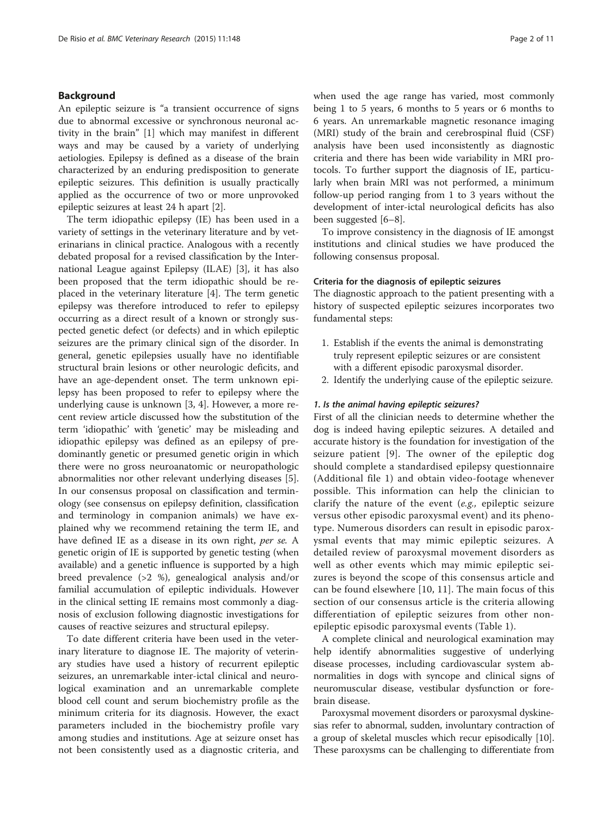#### Background

An epileptic seizure is "a transient occurrence of signs due to abnormal excessive or synchronous neuronal activity in the brain" [[1\]](#page-9-0) which may manifest in different ways and may be caused by a variety of underlying aetiologies. Epilepsy is defined as a disease of the brain characterized by an enduring predisposition to generate epileptic seizures. This definition is usually practically applied as the occurrence of two or more unprovoked epileptic seizures at least 24 h apart [\[2\]](#page-9-0).

The term idiopathic epilepsy (IE) has been used in a variety of settings in the veterinary literature and by veterinarians in clinical practice. Analogous with a recently debated proposal for a revised classification by the International League against Epilepsy (ILAE) [[3](#page-9-0)], it has also been proposed that the term idiopathic should be replaced in the veterinary literature [\[4](#page-9-0)]. The term genetic epilepsy was therefore introduced to refer to epilepsy occurring as a direct result of a known or strongly suspected genetic defect (or defects) and in which epileptic seizures are the primary clinical sign of the disorder. In general, genetic epilepsies usually have no identifiable structural brain lesions or other neurologic deficits, and have an age-dependent onset. The term unknown epilepsy has been proposed to refer to epilepsy where the underlying cause is unknown [[3, 4\]](#page-9-0). However, a more recent review article discussed how the substitution of the term 'idiopathic' with 'genetic' may be misleading and idiopathic epilepsy was defined as an epilepsy of predominantly genetic or presumed genetic origin in which there were no gross neuroanatomic or neuropathologic abnormalities nor other relevant underlying diseases [\[5](#page-9-0)]. In our consensus proposal on classification and terminology (see consensus on epilepsy definition, classification and terminology in companion animals) we have explained why we recommend retaining the term IE, and have defined IE as a disease in its own right, per se. A genetic origin of IE is supported by genetic testing (when available) and a genetic influence is supported by a high breed prevalence (>2 %), genealogical analysis and/or familial accumulation of epileptic individuals. However in the clinical setting IE remains most commonly a diagnosis of exclusion following diagnostic investigations for causes of reactive seizures and structural epilepsy.

To date different criteria have been used in the veterinary literature to diagnose IE. The majority of veterinary studies have used a history of recurrent epileptic seizures, an unremarkable inter-ictal clinical and neurological examination and an unremarkable complete blood cell count and serum biochemistry profile as the minimum criteria for its diagnosis. However, the exact parameters included in the biochemistry profile vary among studies and institutions. Age at seizure onset has not been consistently used as a diagnostic criteria, and when used the age range has varied, most commonly being 1 to 5 years, 6 months to 5 years or 6 months to 6 years. An unremarkable magnetic resonance imaging (MRI) study of the brain and cerebrospinal fluid (CSF) analysis have been used inconsistently as diagnostic criteria and there has been wide variability in MRI protocols. To further support the diagnosis of IE, particularly when brain MRI was not performed, a minimum follow-up period ranging from 1 to 3 years without the development of inter-ictal neurological deficits has also been suggested [[6](#page-9-0)–[8](#page-9-0)].

To improve consistency in the diagnosis of IE amongst institutions and clinical studies we have produced the following consensus proposal.

#### Criteria for the diagnosis of epileptic seizures

The diagnostic approach to the patient presenting with a history of suspected epileptic seizures incorporates two fundamental steps:

- 1. Establish if the events the animal is demonstrating truly represent epileptic seizures or are consistent with a different episodic paroxysmal disorder.
- 2. Identify the underlying cause of the epileptic seizure.

#### 1. Is the animal having epileptic seizures?

First of all the clinician needs to determine whether the dog is indeed having epileptic seizures. A detailed and accurate history is the foundation for investigation of the seizure patient [\[9\]](#page-9-0). The owner of the epileptic dog should complete a standardised epilepsy questionnaire (Additional file [1](#page-9-0)) and obtain video-footage whenever possible. This information can help the clinician to clarify the nature of the event (e.g., epileptic seizure versus other episodic paroxysmal event) and its phenotype. Numerous disorders can result in episodic paroxysmal events that may mimic epileptic seizures. A detailed review of paroxysmal movement disorders as well as other events which may mimic epileptic seizures is beyond the scope of this consensus article and can be found elsewhere [[10](#page-9-0), [11](#page-9-0)]. The main focus of this section of our consensus article is the criteria allowing differentiation of epileptic seizures from other nonepileptic episodic paroxysmal events (Table [1\)](#page-2-0).

A complete clinical and neurological examination may help identify abnormalities suggestive of underlying disease processes, including cardiovascular system abnormalities in dogs with syncope and clinical signs of neuromuscular disease, vestibular dysfunction or forebrain disease.

Paroxysmal movement disorders or paroxysmal dyskinesias refer to abnormal, sudden, involuntary contraction of a group of skeletal muscles which recur episodically [[10](#page-9-0)]. These paroxysms can be challenging to differentiate from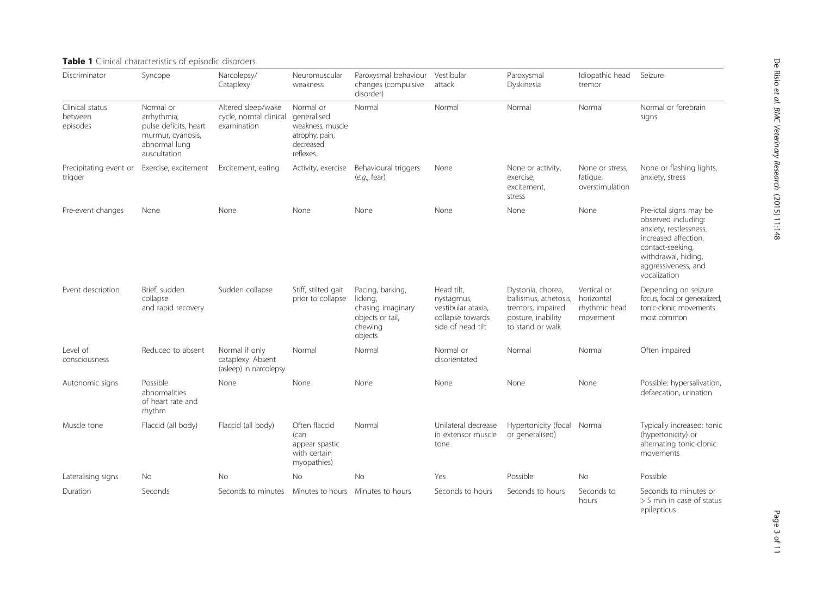### <span id="page-2-0"></span>Table 1 Clinical characteristics of episodic disorders

| Discriminator                          | Syncope                                                                                                 | Narcolepsy/<br>Cataplexy                                      | Neuromuscular<br>weakness                                                               | Paroxysmal behaviour<br>changes (compulsive<br>disorder)                                    | Vestibular<br>attack                                                                    | Paroxysmal<br>Dyskinesia                                                                                  | Idiopathic head<br>tremor                              | Seizure                                                                                                                                                                           |
|----------------------------------------|---------------------------------------------------------------------------------------------------------|---------------------------------------------------------------|-----------------------------------------------------------------------------------------|---------------------------------------------------------------------------------------------|-----------------------------------------------------------------------------------------|-----------------------------------------------------------------------------------------------------------|--------------------------------------------------------|-----------------------------------------------------------------------------------------------------------------------------------------------------------------------------------|
| Clinical status<br>between<br>episodes | Normal or<br>arrhythmia,<br>pulse deficits, heart<br>murmur, cyanosis,<br>abnormal lung<br>auscultation | Altered sleep/wake<br>cycle, normal clinical<br>examination   | Normal or<br>generalised<br>weakness, muscle<br>atrophy, pain,<br>decreased<br>reflexes | Normal                                                                                      | Normal                                                                                  | Normal                                                                                                    | Normal                                                 | Normal or forebrain<br>signs                                                                                                                                                      |
| Precipitating event or<br>trigger      | Exercise, excitement                                                                                    | Excitement, eating                                            | Activity, exercise                                                                      | Behavioural triggers<br>(e.g., fear)                                                        | None                                                                                    | None or activity,<br>exercise,<br>excitement,<br>stress                                                   | None or stress,<br>fatique,<br>overstimulation         | None or flashing lights,<br>anxiety, stress                                                                                                                                       |
| Pre-event changes                      | None                                                                                                    | None                                                          | None                                                                                    | None                                                                                        | None                                                                                    | None                                                                                                      | None                                                   | Pre-ictal signs may be<br>observed including:<br>anxiety, restlessness,<br>increased affection,<br>contact-seeking,<br>withdrawal, hiding,<br>aggressiveness, and<br>vocalization |
| Event description                      | Brief, sudden<br>collapse<br>and rapid recovery                                                         | Sudden collapse                                               | Stiff, stilted gait<br>prior to collapse                                                | Pacing, barking,<br>licking,<br>chasing imaginary<br>objects or tail,<br>chewing<br>objects | Head tilt,<br>nystagmus,<br>vestibular ataxia,<br>collapse towards<br>side of head tilt | Dystonia, chorea,<br>ballismus, athetosis,<br>tremors, impaired<br>posture, inability<br>to stand or walk | Vertical or<br>horizontal<br>rhythmic head<br>movement | Depending on seizure<br>focus, focal or generalized,<br>tonic-clonic movements<br>most common                                                                                     |
| Level of<br>consciousness              | Reduced to absent                                                                                       | Normal if only<br>cataplexy. Absent<br>(asleep) in narcolepsy | Normal                                                                                  | Normal                                                                                      | Normal or<br>disorientated                                                              | Normal                                                                                                    | Normal                                                 | Often impaired                                                                                                                                                                    |
| Autonomic signs                        | Possible<br>abnormalities<br>of heart rate and<br>rhythm                                                | None                                                          | None                                                                                    | None                                                                                        | None                                                                                    | None                                                                                                      | None                                                   | Possible: hypersalivation,<br>defaecation, urination                                                                                                                              |
| Muscle tone                            | Flaccid (all body)                                                                                      | Flaccid (all body)                                            | Often flaccid<br>(can<br>appear spastic<br>with certain<br>myopathies)                  | Normal                                                                                      | Unilateral decrease<br>in extensor muscle<br>tone                                       | Hypertonicity (focal<br>or generalised)                                                                   | Normal                                                 | Typically increased: tonic<br>(hypertonicity) or<br>alternating tonic-clonic<br>movements                                                                                         |
| Lateralising signs                     | No                                                                                                      | No                                                            | No                                                                                      | No                                                                                          | Yes                                                                                     | Possible                                                                                                  | <b>No</b>                                              | Possible                                                                                                                                                                          |
| Duration                               | Seconds                                                                                                 | Seconds to minutes                                            |                                                                                         | Minutes to hours Minutes to hours                                                           | Seconds to hours                                                                        | Seconds to hours                                                                                          | Seconds to<br>hours                                    | Seconds to minutes or<br>> 5 min in case of status<br>epilepticus                                                                                                                 |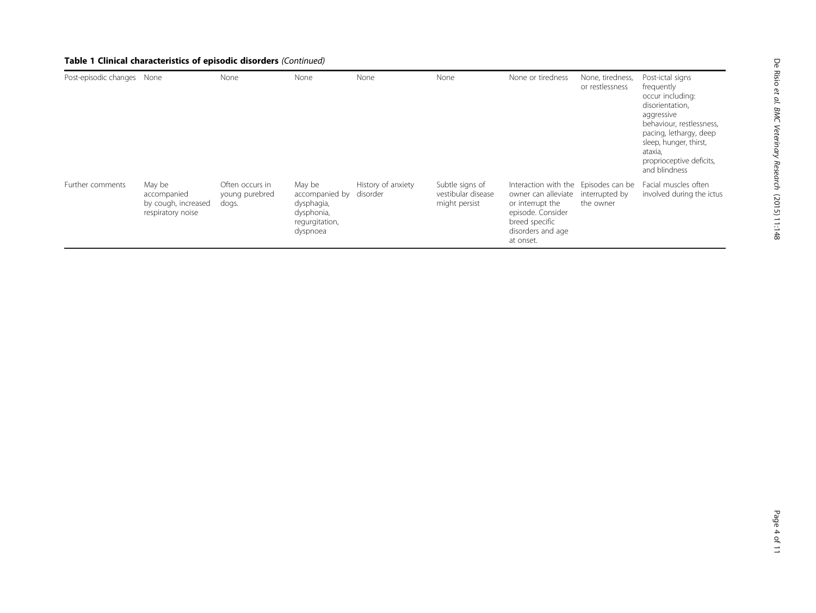# Table 1 Clinical characteristics of episodic disorders (Continued)

| Post-episodic changes | None                                                              | None                                       | None                                                                               | None                           | None                                                   | None or tiredness                                                                                                                                        | None, tiredness,<br>or restlessness | Post-ictal signs<br>frequently<br>occur including:<br>disorientation.<br>aggressive<br>behaviour, restlessness,<br>pacing, lethargy, deep<br>sleep, hunger, thirst,<br>ataxia,<br>proprioceptive deficits,<br>and blindness |
|-----------------------|-------------------------------------------------------------------|--------------------------------------------|------------------------------------------------------------------------------------|--------------------------------|--------------------------------------------------------|----------------------------------------------------------------------------------------------------------------------------------------------------------|-------------------------------------|-----------------------------------------------------------------------------------------------------------------------------------------------------------------------------------------------------------------------------|
| Further comments      | May be<br>accompanied<br>by cough, increased<br>respiratory noise | Often occurs in<br>young purebred<br>dogs. | May be<br>accompanied by<br>dysphagia,<br>dysphonia,<br>regurgitation,<br>dyspnoea | History of anxiety<br>disorder | Subtle signs of<br>vestibular disease<br>might persist | Interaction with the Episodes can be<br>owner can alleviate<br>or interrupt the<br>episode. Consider<br>breed specific<br>disorders and age<br>at onset. | interrupted by<br>the owner         | Facial muscles often<br>involved during the ictus                                                                                                                                                                           |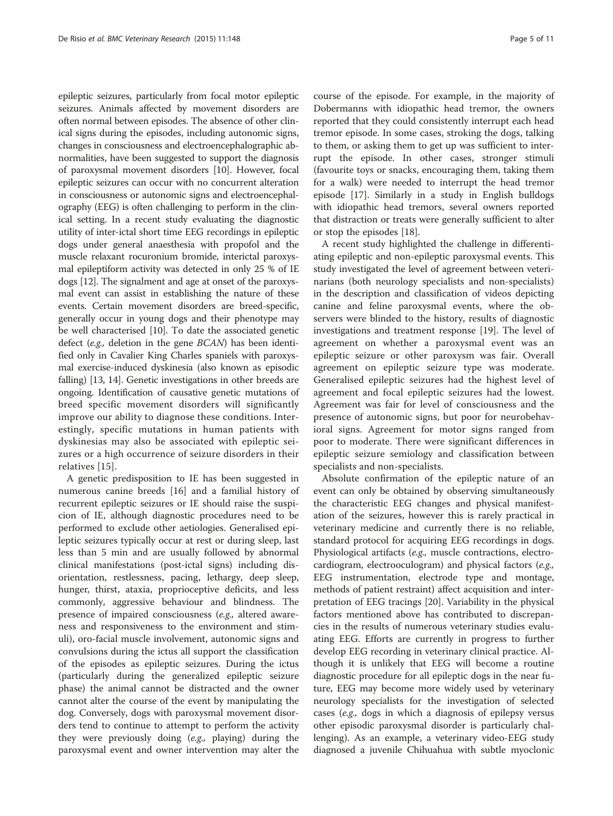epileptic seizures, particularly from focal motor epileptic seizures. Animals affected by movement disorders are often normal between episodes. The absence of other clinical signs during the episodes, including autonomic signs, changes in consciousness and electroencephalographic abnormalities, have been suggested to support the diagnosis of paroxysmal movement disorders [\[10](#page-9-0)]. However, focal epileptic seizures can occur with no concurrent alteration in consciousness or autonomic signs and electroencephalography (EEG) is often challenging to perform in the clinical setting. In a recent study evaluating the diagnostic utility of inter-ictal short time EEG recordings in epileptic dogs under general anaesthesia with propofol and the muscle relaxant rocuronium bromide, interictal paroxysmal epileptiform activity was detected in only 25 % of IE dogs [[12](#page-10-0)]. The signalment and age at onset of the paroxysmal event can assist in establishing the nature of these events. Certain movement disorders are breed-specific, generally occur in young dogs and their phenotype may be well characterised [\[10\]](#page-9-0). To date the associated genetic defect (e.g., deletion in the gene BCAN) has been identified only in Cavalier King Charles spaniels with paroxysmal exercise-induced dyskinesia (also known as episodic falling) [\[13, 14\]](#page-10-0). Genetic investigations in other breeds are ongoing. Identification of causative genetic mutations of breed specific movement disorders will significantly improve our ability to diagnose these conditions. Interestingly, specific mutations in human patients with dyskinesias may also be associated with epileptic seizures or a high occurrence of seizure disorders in their relatives [[15](#page-10-0)].

A genetic predisposition to IE has been suggested in numerous canine breeds [\[16](#page-10-0)] and a familial history of recurrent epileptic seizures or IE should raise the suspicion of IE, although diagnostic procedures need to be performed to exclude other aetiologies. Generalised epileptic seizures typically occur at rest or during sleep, last less than 5 min and are usually followed by abnormal clinical manifestations (post-ictal signs) including disorientation, restlessness, pacing, lethargy, deep sleep, hunger, thirst, ataxia, proprioceptive deficits, and less commonly, aggressive behaviour and blindness. The presence of impaired consciousness (e.g., altered awareness and responsiveness to the environment and stimuli), oro-facial muscle involvement, autonomic signs and convulsions during the ictus all support the classification of the episodes as epileptic seizures. During the ictus (particularly during the generalized epileptic seizure phase) the animal cannot be distracted and the owner cannot alter the course of the event by manipulating the dog. Conversely, dogs with paroxysmal movement disorders tend to continue to attempt to perform the activity they were previously doing (e.g., playing) during the paroxysmal event and owner intervention may alter the course of the episode. For example, in the majority of Dobermanns with idiopathic head tremor, the owners reported that they could consistently interrupt each head tremor episode. In some cases, stroking the dogs, talking to them, or asking them to get up was sufficient to interrupt the episode. In other cases, stronger stimuli (favourite toys or snacks, encouraging them, taking them for a walk) were needed to interrupt the head tremor episode [[17\]](#page-10-0). Similarly in a study in English bulldogs with idiopathic head tremors, several owners reported that distraction or treats were generally sufficient to alter or stop the episodes [\[18\]](#page-10-0).

A recent study highlighted the challenge in differentiating epileptic and non-epileptic paroxysmal events. This study investigated the level of agreement between veterinarians (both neurology specialists and non-specialists) in the description and classification of videos depicting canine and feline paroxysmal events, where the observers were blinded to the history, results of diagnostic investigations and treatment response [\[19](#page-10-0)]. The level of agreement on whether a paroxysmal event was an epileptic seizure or other paroxysm was fair. Overall agreement on epileptic seizure type was moderate. Generalised epileptic seizures had the highest level of agreement and focal epileptic seizures had the lowest. Agreement was fair for level of consciousness and the presence of autonomic signs, but poor for neurobehavioral signs. Agreement for motor signs ranged from poor to moderate. There were significant differences in epileptic seizure semiology and classification between specialists and non-specialists.

Absolute confirmation of the epileptic nature of an event can only be obtained by observing simultaneously the characteristic EEG changes and physical manifestation of the seizures, however this is rarely practical in veterinary medicine and currently there is no reliable, standard protocol for acquiring EEG recordings in dogs. Physiological artifacts (e.g., muscle contractions, electrocardiogram, electrooculogram) and physical factors (e.g., EEG instrumentation, electrode type and montage, methods of patient restraint) affect acquisition and interpretation of EEG tracings [[20\]](#page-10-0). Variability in the physical factors mentioned above has contributed to discrepancies in the results of numerous veterinary studies evaluating EEG. Efforts are currently in progress to further develop EEG recording in veterinary clinical practice. Although it is unlikely that EEG will become a routine diagnostic procedure for all epileptic dogs in the near future, EEG may become more widely used by veterinary neurology specialists for the investigation of selected cases (e.g., dogs in which a diagnosis of epilepsy versus other episodic paroxysmal disorder is particularly challenging). As an example, a veterinary video-EEG study diagnosed a juvenile Chihuahua with subtle myoclonic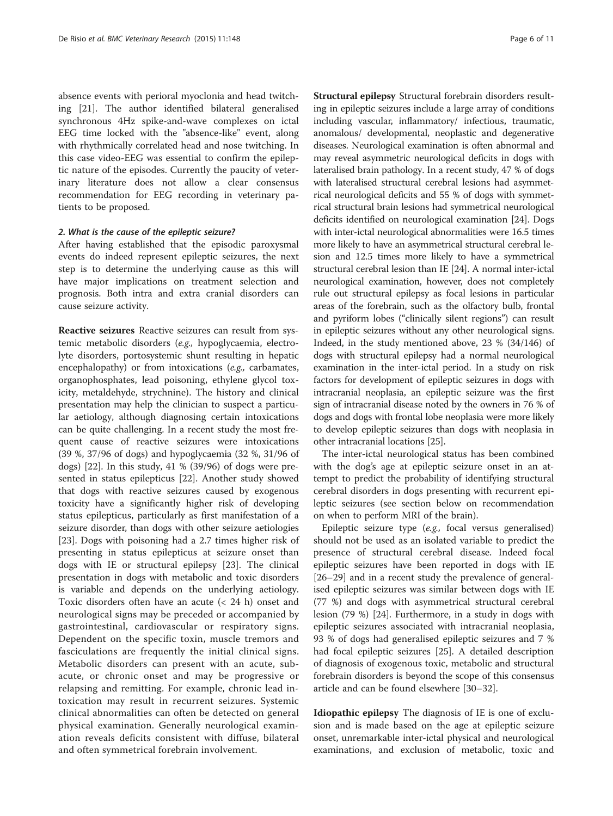absence events with perioral myoclonia and head twitching [[21\]](#page-10-0). The author identified bilateral generalised synchronous 4Hz spike-and-wave complexes on ictal EEG time locked with the "absence-like" event, along with rhythmically correlated head and nose twitching. In this case video-EEG was essential to confirm the epileptic nature of the episodes. Currently the paucity of veterinary literature does not allow a clear consensus recommendation for EEG recording in veterinary patients to be proposed.

# 2. What is the cause of the epileptic seizure?

After having established that the episodic paroxysmal events do indeed represent epileptic seizures, the next step is to determine the underlying cause as this will have major implications on treatment selection and prognosis. Both intra and extra cranial disorders can cause seizure activity.

Reactive seizures Reactive seizures can result from systemic metabolic disorders (e.g., hypoglycaemia, electrolyte disorders, portosystemic shunt resulting in hepatic encephalopathy) or from intoxications (e.g., carbamates, organophosphates, lead poisoning, ethylene glycol toxicity, metaldehyde, strychnine). The history and clinical presentation may help the clinician to suspect a particular aetiology, although diagnosing certain intoxications can be quite challenging. In a recent study the most frequent cause of reactive seizures were intoxications (39 %, 37/96 of dogs) and hypoglycaemia (32 %, 31/96 of dogs) [\[22\]](#page-10-0). In this study, 41 % (39/96) of dogs were presented in status epilepticus [\[22\]](#page-10-0). Another study showed that dogs with reactive seizures caused by exogenous toxicity have a significantly higher risk of developing status epilepticus, particularly as first manifestation of a seizure disorder, than dogs with other seizure aetiologies [[23\]](#page-10-0). Dogs with poisoning had a 2.7 times higher risk of presenting in status epilepticus at seizure onset than dogs with IE or structural epilepsy [\[23](#page-10-0)]. The clinical presentation in dogs with metabolic and toxic disorders is variable and depends on the underlying aetiology. Toxic disorders often have an acute (< 24 h) onset and neurological signs may be preceded or accompanied by gastrointestinal, cardiovascular or respiratory signs. Dependent on the specific toxin, muscle tremors and fasciculations are frequently the initial clinical signs. Metabolic disorders can present with an acute, subacute, or chronic onset and may be progressive or relapsing and remitting. For example, chronic lead intoxication may result in recurrent seizures. Systemic clinical abnormalities can often be detected on general physical examination. Generally neurological examination reveals deficits consistent with diffuse, bilateral and often symmetrical forebrain involvement.

Structural epilepsy Structural forebrain disorders resulting in epileptic seizures include a large array of conditions including vascular, inflammatory/ infectious, traumatic, anomalous/ developmental, neoplastic and degenerative diseases. Neurological examination is often abnormal and may reveal asymmetric neurological deficits in dogs with lateralised brain pathology. In a recent study, 47 % of dogs with lateralised structural cerebral lesions had asymmetrical neurological deficits and 55 % of dogs with symmetrical structural brain lesions had symmetrical neurological deficits identified on neurological examination [[24](#page-10-0)]. Dogs with inter-ictal neurological abnormalities were 16.5 times more likely to have an asymmetrical structural cerebral lesion and 12.5 times more likely to have a symmetrical structural cerebral lesion than IE [\[24](#page-10-0)]. A normal inter-ictal neurological examination, however, does not completely rule out structural epilepsy as focal lesions in particular areas of the forebrain, such as the olfactory bulb, frontal and pyriform lobes ("clinically silent regions") can result in epileptic seizures without any other neurological signs. Indeed, in the study mentioned above, 23 % (34/146) of dogs with structural epilepsy had a normal neurological examination in the inter-ictal period. In a study on risk factors for development of epileptic seizures in dogs with intracranial neoplasia, an epileptic seizure was the first sign of intracranial disease noted by the owners in 76 % of dogs and dogs with frontal lobe neoplasia were more likely to develop epileptic seizures than dogs with neoplasia in other intracranial locations [\[25\]](#page-10-0).

The inter-ictal neurological status has been combined with the dog's age at epileptic seizure onset in an attempt to predict the probability of identifying structural cerebral disorders in dogs presenting with recurrent epileptic seizures (see section below on recommendation on when to perform MRI of the brain).

Epileptic seizure type (e.g., focal versus generalised) should not be used as an isolated variable to predict the presence of structural cerebral disease. Indeed focal epileptic seizures have been reported in dogs with IE [[26](#page-10-0)–[29](#page-10-0)] and in a recent study the prevalence of generalised epileptic seizures was similar between dogs with IE (77 %) and dogs with asymmetrical structural cerebral lesion (79 %) [\[24](#page-10-0)]. Furthermore, in a study in dogs with epileptic seizures associated with intracranial neoplasia, 93 % of dogs had generalised epileptic seizures and 7 % had focal epileptic seizures [\[25\]](#page-10-0). A detailed description of diagnosis of exogenous toxic, metabolic and structural forebrain disorders is beyond the scope of this consensus article and can be found elsewhere [\[30](#page-10-0)–[32\]](#page-10-0).

Idiopathic epilepsy The diagnosis of IE is one of exclusion and is made based on the age at epileptic seizure onset, unremarkable inter-ictal physical and neurological examinations, and exclusion of metabolic, toxic and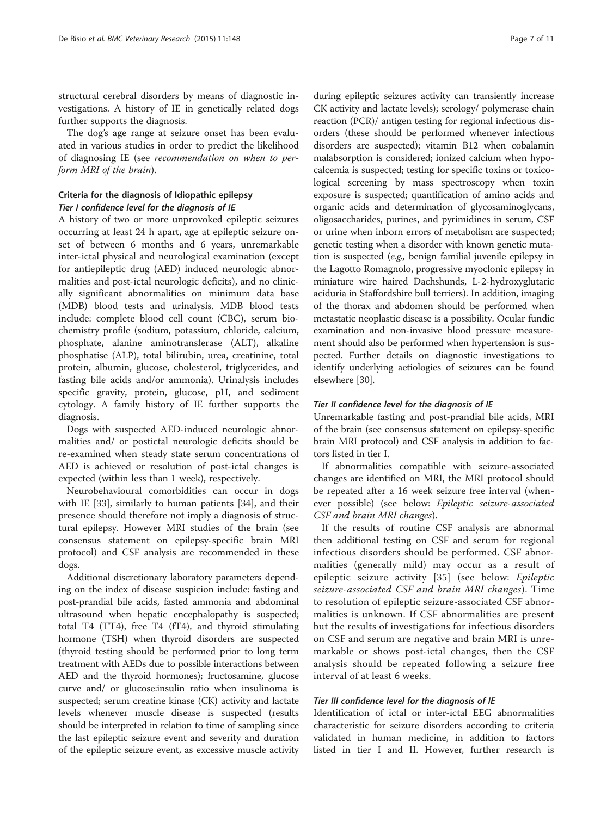structural cerebral disorders by means of diagnostic investigations. A history of IE in genetically related dogs further supports the diagnosis.

The dog's age range at seizure onset has been evaluated in various studies in order to predict the likelihood of diagnosing IE (see recommendation on when to perform MRI of the brain).

#### Criteria for the diagnosis of Idiopathic epilepsy Tier I confidence level for the diagnosis of IE

A history of two or more unprovoked epileptic seizures occurring at least 24 h apart, age at epileptic seizure onset of between 6 months and 6 years, unremarkable inter-ictal physical and neurological examination (except for antiepileptic drug (AED) induced neurologic abnormalities and post-ictal neurologic deficits), and no clinically significant abnormalities on minimum data base (MDB) blood tests and urinalysis. MDB blood tests include: complete blood cell count (CBC), serum biochemistry profile (sodium, potassium, chloride, calcium, phosphate, alanine aminotransferase (ALT), alkaline phosphatise (ALP), total bilirubin, urea, creatinine, total protein, albumin, glucose, cholesterol, triglycerides, and fasting bile acids and/or ammonia). Urinalysis includes specific gravity, protein, glucose, pH, and sediment cytology. A family history of IE further supports the diagnosis.

Dogs with suspected AED-induced neurologic abnormalities and/ or postictal neurologic deficits should be re-examined when steady state serum concentrations of AED is achieved or resolution of post-ictal changes is expected (within less than 1 week), respectively.

Neurobehavioural comorbidities can occur in dogs with IE [[33\]](#page-10-0), similarly to human patients [\[34\]](#page-10-0), and their presence should therefore not imply a diagnosis of structural epilepsy. However MRI studies of the brain (see consensus statement on epilepsy-specific brain MRI protocol) and CSF analysis are recommended in these dogs.

Additional discretionary laboratory parameters depending on the index of disease suspicion include: fasting and post-prandial bile acids, fasted ammonia and abdominal ultrasound when hepatic encephalopathy is suspected; total T4 (TT4), free T4 (fT4), and thyroid stimulating hormone (TSH) when thyroid disorders are suspected (thyroid testing should be performed prior to long term treatment with AEDs due to possible interactions between AED and the thyroid hormones); fructosamine, glucose curve and/ or glucose:insulin ratio when insulinoma is suspected; serum creatine kinase (CK) activity and lactate levels whenever muscle disease is suspected (results should be interpreted in relation to time of sampling since the last epileptic seizure event and severity and duration of the epileptic seizure event, as excessive muscle activity

during epileptic seizures activity can transiently increase CK activity and lactate levels); serology/ polymerase chain reaction (PCR)/ antigen testing for regional infectious disorders (these should be performed whenever infectious disorders are suspected); vitamin B12 when cobalamin malabsorption is considered; ionized calcium when hypocalcemia is suspected; testing for specific toxins or toxicological screening by mass spectroscopy when toxin exposure is suspected; quantification of amino acids and organic acids and determination of glycosaminoglycans, oligosaccharides, purines, and pyrimidines in serum, CSF or urine when inborn errors of metabolism are suspected; genetic testing when a disorder with known genetic mutation is suspected (e.g., benign familial juvenile epilepsy in the Lagotto Romagnolo, progressive myoclonic epilepsy in miniature wire haired Dachshunds, L-2-hydroxyglutaric aciduria in Staffordshire bull terriers). In addition, imaging of the thorax and abdomen should be performed when metastatic neoplastic disease is a possibility. Ocular fundic examination and non-invasive blood pressure measurement should also be performed when hypertension is suspected. Further details on diagnostic investigations to identify underlying aetiologies of seizures can be found elsewhere [\[30](#page-10-0)].

#### Tier II confidence level for the diagnosis of IE

Unremarkable fasting and post-prandial bile acids, MRI of the brain (see consensus statement on epilepsy-specific brain MRI protocol) and CSF analysis in addition to factors listed in tier I.

If abnormalities compatible with seizure-associated changes are identified on MRI, the MRI protocol should be repeated after a 16 week seizure free interval (whenever possible) (see below: Epileptic seizure-associated CSF and brain MRI changes).

If the results of routine CSF analysis are abnormal then additional testing on CSF and serum for regional infectious disorders should be performed. CSF abnormalities (generally mild) may occur as a result of epileptic seizure activity [[35\]](#page-10-0) (see below: Epileptic seizure-associated CSF and brain MRI changes). Time to resolution of epileptic seizure-associated CSF abnormalities is unknown. If CSF abnormalities are present but the results of investigations for infectious disorders on CSF and serum are negative and brain MRI is unremarkable or shows post-ictal changes, then the CSF analysis should be repeated following a seizure free interval of at least 6 weeks.

#### Tier III confidence level for the diagnosis of IE

Identification of ictal or inter-ictal EEG abnormalities characteristic for seizure disorders according to criteria validated in human medicine, in addition to factors listed in tier I and II. However, further research is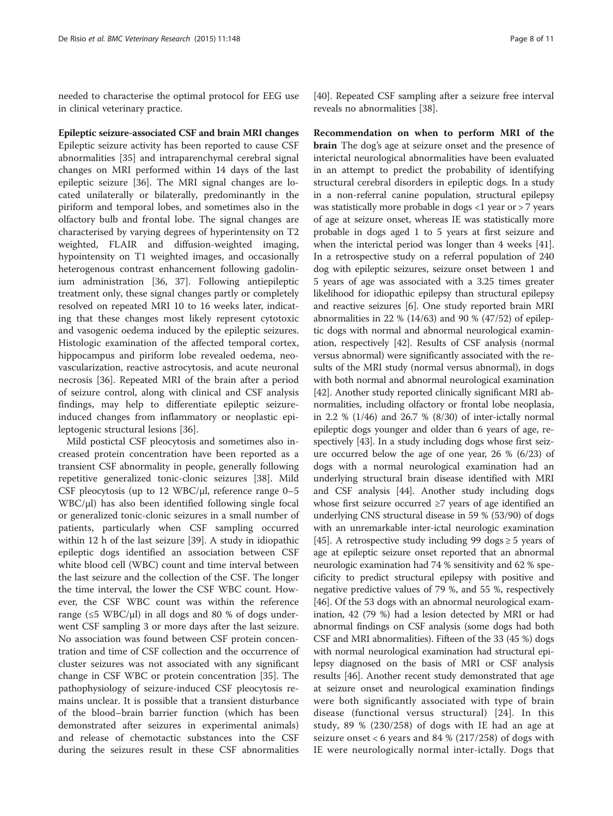needed to characterise the optimal protocol for EEG use in clinical veterinary practice.

Epileptic seizure-associated CSF and brain MRI changes Epileptic seizure activity has been reported to cause CSF abnormalities [\[35\]](#page-10-0) and intraparenchymal cerebral signal changes on MRI performed within 14 days of the last epileptic seizure [\[36](#page-10-0)]. The MRI signal changes are located unilaterally or bilaterally, predominantly in the piriform and temporal lobes, and sometimes also in the olfactory bulb and frontal lobe. The signal changes are characterised by varying degrees of hyperintensity on T2 weighted, FLAIR and diffusion-weighted imaging, hypointensity on T1 weighted images, and occasionally heterogenous contrast enhancement following gadolinium administration [[36](#page-10-0), [37](#page-10-0)]. Following antiepileptic treatment only, these signal changes partly or completely resolved on repeated MRI 10 to 16 weeks later, indicating that these changes most likely represent cytotoxic and vasogenic oedema induced by the epileptic seizures. Histologic examination of the affected temporal cortex, hippocampus and piriform lobe revealed oedema, neovascularization, reactive astrocytosis, and acute neuronal necrosis [\[36\]](#page-10-0). Repeated MRI of the brain after a period of seizure control, along with clinical and CSF analysis findings, may help to differentiate epileptic seizureinduced changes from inflammatory or neoplastic epileptogenic structural lesions [[36](#page-10-0)].

Mild postictal CSF pleocytosis and sometimes also increased protein concentration have been reported as a transient CSF abnormality in people, generally following repetitive generalized tonic-clonic seizures [[38\]](#page-10-0). Mild CSF pleocytosis (up to 12 WBC/μl, reference range 0–5 WBC/μl) has also been identified following single focal or generalized tonic-clonic seizures in a small number of patients, particularly when CSF sampling occurred within 12 h of the last seizure [[39\]](#page-10-0). A study in idiopathic epileptic dogs identified an association between CSF white blood cell (WBC) count and time interval between the last seizure and the collection of the CSF. The longer the time interval, the lower the CSF WBC count. However, the CSF WBC count was within the reference range ( $\leq$ 5 WBC/ $\mu$ l) in all dogs and 80 % of dogs underwent CSF sampling 3 or more days after the last seizure. No association was found between CSF protein concentration and time of CSF collection and the occurrence of cluster seizures was not associated with any significant change in CSF WBC or protein concentration [[35](#page-10-0)]. The pathophysiology of seizure-induced CSF pleocytosis remains unclear. It is possible that a transient disturbance of the blood–brain barrier function (which has been demonstrated after seizures in experimental animals) and release of chemotactic substances into the CSF during the seizures result in these CSF abnormalities [[40\]](#page-10-0). Repeated CSF sampling after a seizure free interval

reveals no abnormalities [\[38](#page-10-0)].

Recommendation on when to perform MRI of the brain The dog's age at seizure onset and the presence of interictal neurological abnormalities have been evaluated in an attempt to predict the probability of identifying structural cerebral disorders in epileptic dogs. In a study in a non-referral canine population, structural epilepsy was statistically more probable in dogs <1 year or > 7 years of age at seizure onset, whereas IE was statistically more probable in dogs aged 1 to 5 years at first seizure and when the interictal period was longer than 4 weeks [[41](#page-10-0)]. In a retrospective study on a referral population of 240 dog with epileptic seizures, seizure onset between 1 and 5 years of age was associated with a 3.25 times greater likelihood for idiopathic epilepsy than structural epilepsy and reactive seizures [[6\]](#page-9-0). One study reported brain MRI abnormalities in 22 % (14/63) and 90 % (47/52) of epileptic dogs with normal and abnormal neurological examination, respectively [[42](#page-10-0)]. Results of CSF analysis (normal versus abnormal) were significantly associated with the results of the MRI study (normal versus abnormal), in dogs with both normal and abnormal neurological examination [[42](#page-10-0)]. Another study reported clinically significant MRI abnormalities, including olfactory or frontal lobe neoplasia, in 2.2 % (1/46) and 26.7 % (8/30) of inter-ictally normal epileptic dogs younger and older than 6 years of age, respectively [[43](#page-10-0)]. In a study including dogs whose first seizure occurred below the age of one year, 26 % (6/23) of dogs with a normal neurological examination had an underlying structural brain disease identified with MRI and CSF analysis [\[44\]](#page-10-0). Another study including dogs whose first seizure occurred ≥7 years of age identified an underlying CNS structural disease in 59 % (53/90) of dogs with an unremarkable inter-ictal neurologic examination [[45](#page-10-0)]. A retrospective study including 99 dogs  $\geq$  5 years of age at epileptic seizure onset reported that an abnormal neurologic examination had 74 % sensitivity and 62 % specificity to predict structural epilepsy with positive and negative predictive values of 79 %, and 55 %, respectively [[46](#page-10-0)]. Of the 53 dogs with an abnormal neurological examination, 42 (79 %) had a lesion detected by MRI or had abnormal findings on CSF analysis (some dogs had both CSF and MRI abnormalities). Fifteen of the 33 (45 %) dogs with normal neurological examination had structural epilepsy diagnosed on the basis of MRI or CSF analysis results [[46](#page-10-0)]. Another recent study demonstrated that age at seizure onset and neurological examination findings were both significantly associated with type of brain disease (functional versus structural) [[24](#page-10-0)]. In this study, 89 % (230/258) of dogs with IE had an age at seizure onset < 6 years and 84 % (217/258) of dogs with IE were neurologically normal inter-ictally. Dogs that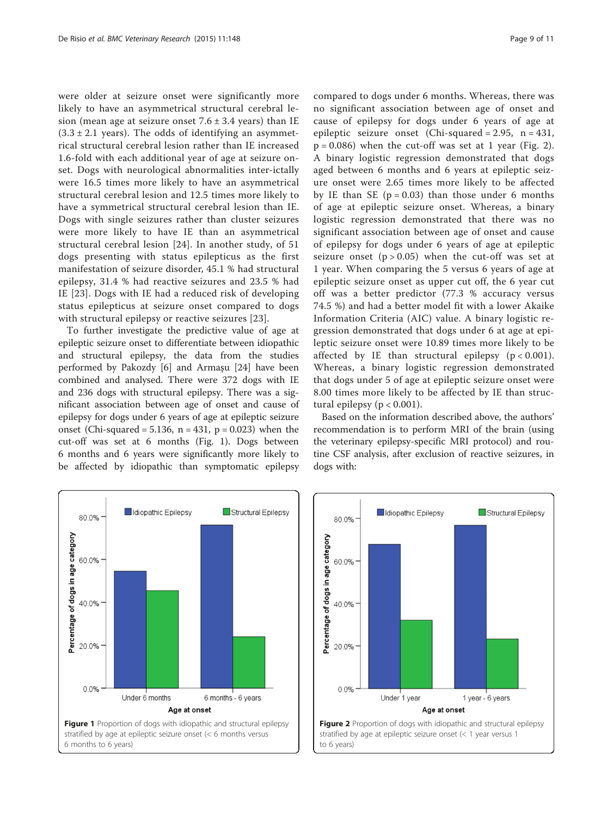were older at seizure onset were significantly more likely to have an asymmetrical structural cerebral lesion (mean age at seizure onset  $7.6 \pm 3.4$  years) than IE  $(3.3 \pm 2.1 \text{ years})$ . The odds of identifying an asymmetrical structural cerebral lesion rather than IE increased 1.6-fold with each additional year of age at seizure onset. Dogs with neurological abnormalities inter-ictally were 16.5 times more likely to have an asymmetrical structural cerebral lesion and 12.5 times more likely to have a symmetrical structural cerebral lesion than IE. Dogs with single seizures rather than cluster seizures were more likely to have IE than an asymmetrical structural cerebral lesion [\[24](#page-10-0)]. In another study, of 51 dogs presenting with status epilepticus as the first manifestation of seizure disorder, 45.1 % had structural epilepsy, 31.4 % had reactive seizures and 23.5 % had IE [\[23\]](#page-10-0). Dogs with IE had a reduced risk of developing status epilepticus at seizure onset compared to dogs with structural epilepsy or reactive seizures [[23](#page-10-0)].

To further investigate the predictive value of age at epileptic seizure onset to differentiate between idiopathic and structural epilepsy, the data from the studies performed by Pakozdy [\[6](#page-9-0)] and Armaşu [[24\]](#page-10-0) have been combined and analysed. There were 372 dogs with IE and 236 dogs with structural epilepsy. There was a significant association between age of onset and cause of epilepsy for dogs under 6 years of age at epileptic seizure onset (Chi-squared = 5.136,  $n = 431$ ,  $p = 0.023$ ) when the cut-off was set at 6 months (Fig. 1). Dogs between 6 months and 6 years were significantly more likely to be affected by idiopathic than symptomatic epilepsy

compared to dogs under 6 months. Whereas, there was no significant association between age of onset and cause of epilepsy for dogs under 6 years of age at epileptic seizure onset (Chi-squared =  $2.95$ ,  $n = 431$ ,  $p = 0.086$ ) when the cut-off was set at 1 year (Fig. 2). A binary logistic regression demonstrated that dogs aged between 6 months and 6 years at epileptic seizure onset were 2.65 times more likely to be affected by IE than SE  $(p = 0.03)$  than those under 6 months of age at epileptic seizure onset. Whereas, a binary logistic regression demonstrated that there was no significant association between age of onset and cause of epilepsy for dogs under 6 years of age at epileptic seizure onset  $(p > 0.05)$  when the cut-off was set at 1 year. When comparing the 5 versus 6 years of age at epileptic seizure onset as upper cut off, the 6 year cut off was a better predictor (77.3 % accuracy versus 74.5 %) and had a better model fit with a lower Akaike Information Criteria (AIC) value. A binary logistic regression demonstrated that dogs under 6 at age at epileptic seizure onset were 10.89 times more likely to be affected by IE than structural epilepsy  $(p < 0.001)$ . Whereas, a binary logistic regression demonstrated that dogs under 5 of age at epileptic seizure onset were 8.00 times more likely to be affected by IE than structural epilepsy ( $p < 0.001$ ).

Based on the information described above, the authors' recommendation is to perform MRI of the brain (using the veterinary epilepsy-specific MRI protocol) and routine CSF analysis, after exclusion of reactive seizures, in dogs with:



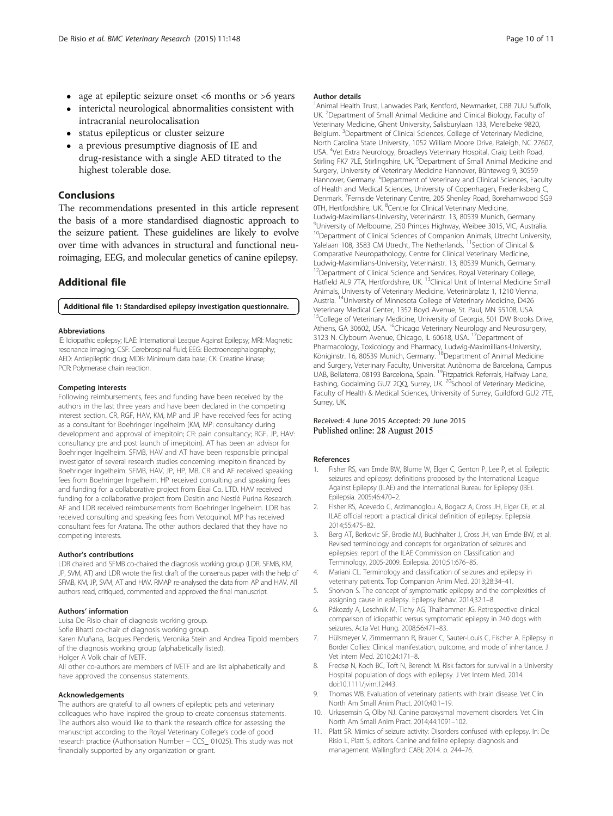- <span id="page-9-0"></span>• interictal neurological abnormalities consistent with intracranial neurolocalisation
- status epilepticus or cluster seizure
- a previous presumptive diagnosis of IE and drug-resistance with a single AED titrated to the highest tolerable dose.

#### Conclusions

The recommendations presented in this article represent the basis of a more standardised diagnostic approach to the seizure patient. These guidelines are likely to evolve over time with advances in structural and functional neuroimaging, EEG, and molecular genetics of canine epilepsy.

#### Additional file

[Additional file 1:](http://www.biomedcentral.com/content/supplementary/s12917-015-0462-1-s1.doc) Standardised epilepsy investigation questionnaire.

#### Abbreviations

IE: Idiopathic epilepsy; ILAE: International League Against Epilepsy; MRI: Magnetic resonance imaging; CSF: Cerebrospinal fluid; EEG: Electroencephalography; AED: Antiepileptic drug; MDB: Minimum data base; CK: Creatine kinase; PCR: Polymerase chain reaction.

#### Competing interests

Following reimbursements, fees and funding have been received by the authors in the last three years and have been declared in the competing interest section. CR, RGF, HAV, KM, MP and JP have received fees for acting as a consultant for Boehringer Ingelheim (KM, MP: consultancy during development and approval of imepitoin; CR: pain consultancy; RGF, JP, HAV: consultancy pre and post launch of imepitoin). AT has been an advisor for Boehringer Ingelheim. SFMB, HAV and AT have been responsible principal investigator of several research studies concerning imepitoin financed by Boehringer Ingelheim. SFMB, HAV, JP, HP, MB, CR and AF received speaking fees from Boehringer Ingelheim. HP received consulting and speaking fees and funding for a collaborative project from Eisai Co. LTD. HAV received funding for a collaborative project from Desitin and Nestlé Purina Research. AF and LDR received reimbursements from Boehringer Ingelheim. LDR has received consulting and speaking fees from Vetoquinol. MP has received consultant fees for Aratana. The other authors declared that they have no competing interests.

#### Author's contributions

LDR chaired and SFMB co-chaired the diagnosis working group (LDR, SFMB, KM, JP, SVM, AT) and LDR wrote the first draft of the consensus paper with the help of SFMB, KM, JP, SVM, AT and HAV. RMAP re-analysed the data from AP and HAV. All authors read, critiqued, commented and approved the final manuscript.

#### Authors' information

Luisa De Risio chair of diagnosis working group.

Sofie Bhatti co-chair of diagnosis working group.

Karen Muñana, Jacques Penderis, Veronika Stein and Andrea Tipold members of the diagnosis working group (alphabetically listed).

Holger A Volk chair of IVETF.

All other co-authors are members of IVETF and are list alphabetically and have approved the consensus statements.

#### Acknowledgements

The authors are grateful to all owners of epileptic pets and veterinary colleagues who have inspired the group to create consensus statements. The authors also would like to thank the research office for assessing the manuscript according to the Royal Veterinary College's code of good research practice (Authorisation Number – CCS\_ 01025). This study was not financially supported by any organization or grant.

#### Author details

<sup>1</sup> Animal Health Trust, Lanwades Park, Kentford, Newmarket, CB8 7UU Suffolk UK. <sup>2</sup>Department of Small Animal Medicine and Clinical Biology, Faculty of Veterinary Medicine, Ghent University, Salisburylaan 133, Merelbeke 9820, Belgium.<sup>3</sup> Department of Clinical Sciences, College of Veterinary Medicine, North Carolina State University, 1052 William Moore Drive, Raleigh, NC 27607, USA. <sup>4</sup>Vet Extra Neurology, Broadleys Veterinary Hospital, Craig Leith Road, Stirling FK7 7LE, Stirlingshire, UK. <sup>5</sup>Department of Small Animal Medicine and Surgery, University of Veterinary Medicine Hannover, Bünteweg 9, 30559 Hannover, Germany. <sup>6</sup>Department of Veterinary and Clinical Sciences, Faculty of Health and Medical Sciences, University of Copenhagen, Frederiksberg C, Denmark.<sup>7</sup> Fernside Veterinary Centre, 205 Shenley Road, Borehamwood SG9 0TH, Hertfordshire, UK. <sup>8</sup>Centre for Clinical Veterinary Medicine, Ludwig-Maximilians-University, Veterinärstr. 13, 80539 Munich, Germany. <sup>9</sup>University of Melbourne, 250 Princes Highway, Weibee 3015, VIC, Australia <sup>10</sup>Department of Clinical Sciences of Companion Animals, Utrecht University, Yalelaan 108, 3583 CM Utrecht, The Netherlands. <sup>11</sup> Section of Clinical & Comparative Neuropathology, Centre for Clinical Veterinary Medicine, Ludwig-Maximilians-University, Veterinärstr. 13, 80539 Munich, Germany. <sup>12</sup>Department of Clinical Science and Services, Royal Veterinary College, Hatfield AL9 7TA, Hertfordshire, UK. <sup>13</sup>Clinical Unit of Internal Medicine Small Animals, University of Veterinary Medicine, Veterinärplatz 1, 1210 Vienna, Austria. 14University of Minnesota College of Veterinary Medicine, D426 Veterinary Medical Center, 1352 Boyd Avenue, St. Paul, MN 55108, USA. <sup>15</sup>College of Veterinary Medicine, University of Georgia, 501 DW Brooks Drive, Athens, GA 30602, USA. <sup>16</sup>Chicago Veterinary Neurology and Neurosurgery, 3123 N. Clybourn Avenue, Chicago, IL 60618, USA. <sup>17</sup>Department of Pharmacology, Toxicology and Pharmacy, Ludwig-Maximillians-University, Königinstr. 16, 80539 Munich, Germany. <sup>18</sup>Department of Animal Medicine and Surgery, Veterinary Faculty, Universitat Autònoma de Barcelona, Campus UAB, Bellaterra, 08193 Barcelona, Spain. 19Fitzpatrick Referrals, Halfway Lane, Eashing, Godalming GU7 2QQ, Surrey, UK. <sup>20</sup>School of Veterinary Medicine, Faculty of Health & Medical Sciences, University of Surrey, Guildford GU2 7TE, Surrey, UK.

Received: 4 June 2015 Accepted: 29 June 2015 Published online: 28 August 2015

#### References

- 1. Fisher RS, van Emde BW, Blume W, Elger C, Genton P, Lee P, et al. Epileptic seizures and epilepsy: definitions proposed by the International League Against Epilepsy (ILAE) and the International Bureau for Epilepsy (IBE). Epilepsia. 2005;46:470–2.
- 2. Fisher RS, Acevedo C, Arzimanoglou A, Bogacz A, Cross JH, Elger CE, et al. ILAE official report: a practical clinical definition of epilepsy. Epilepsia. 2014;55:475–82.
- 3. Berg AT, Berkovic SF, Brodie MJ, Buchhalter J, Cross JH, van Emde BW, et al. Revised terminology and concepts for organization of seizures and epilepsies: report of the ILAE Commission on Classification and Terminology, 2005-2009. Epilepsia. 2010;51:676–85.
- 4. Mariani CL. Terminology and classification of seizures and epilepsy in veterinary patients. Top Companion Anim Med. 2013;28:34–41.
- 5. Shorvon S. The concept of symptomatic epilepsy and the complexities of assigning cause in epilepsy. Epilepsy Behav. 2014;32:1–8.
- 6. Pákozdy A, Leschnik M, Tichy AG, Thalhammer JG. Retrospective clinical comparison of idiopathic versus symptomatic epilepsy in 240 dogs with seizures. Acta Vet Hung. 2008;56:471–83.
- 7. Hülsmeyer V, Zimmermann R, Brauer C, Sauter-Louis C, Fischer A. Epilepsy in Border Collies: Clinical manifestation, outcome, and mode of inheritance. J Vet Intern Med. 2010;24:171–8.
- 8. Fredsø N, Koch BC, Toft N, Berendt M. Risk factors for survival in a University Hospital population of dogs with epilepsy. J Vet Intern Med. 2014. doi[:10.1111/jvim.12443](http://dx.doi.org/10.1111/jvim.12443).
- 9. Thomas WB. Evaluation of veterinary patients with brain disease. Vet Clin North Am Small Anim Pract. 2010;40:1–19.
- 10. Urkasemsin G, Olby NJ. Canine paroxysmal movement disorders. Vet Clin North Am Small Anim Pract. 2014;44:1091–102.
- 11. Platt SR. Mimics of seizure activity: Disorders confused with epilepsy. In: De Risio L, Platt S, editors. Canine and feline epilepsy: diagnosis and management. Wallingford: CABI; 2014. p. 244–76.